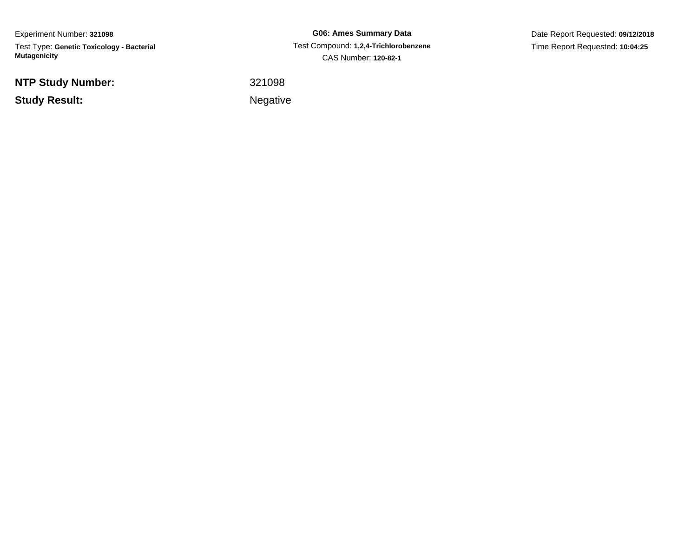Experiment Number: **321098**Test Type: **Genetic Toxicology - Bacterial Mutagenicity**

**NTP Study Number:**

**Study Result:**

**G06: Ames Summary Data** Test Compound: **1,2,4-Trichlorobenzene**CAS Number: **120-82-1**

Date Report Requested: **09/12/2018**Time Report Requested: **10:04:25**

<sup>321098</sup>

Negative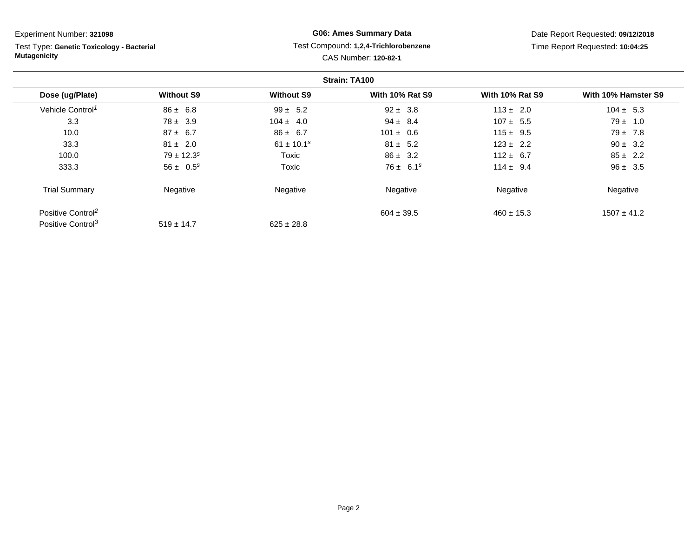Test Type: **Genetic Toxicology - Bacterial Mutagenicity**

# **G06: Ames Summary Data** Test Compound: **1,2,4-Trichlorobenzene**CAS Number: **120-82-1**

|                               |                            |                            | Strain: TA100          |                        |                     |
|-------------------------------|----------------------------|----------------------------|------------------------|------------------------|---------------------|
| Dose (ug/Plate)               | <b>Without S9</b>          | <b>Without S9</b>          | <b>With 10% Rat S9</b> | <b>With 10% Rat S9</b> | With 10% Hamster S9 |
| Vehicle Control <sup>1</sup>  | $86 \pm 6.8$               | $99 \pm 5.2$               | $92 \pm 3.8$           | $113 \pm 2.0$          | $104 \pm 5.3$       |
| 3.3                           | $78 \pm 3.9$               | $104 \pm 4.0$              | $94 \pm 8.4$           | $107 \pm 5.5$          | $79 \pm 1.0$        |
| 10.0                          | $87 \pm 6.7$               | $86 \pm 6.7$               | $101 \pm 0.6$          | $115 \pm 9.5$          | $79 \pm 7.8$        |
| 33.3                          | $81 \pm 2.0$               | $61 \pm 10.1$ <sup>s</sup> | $81 \pm 5.2$           | $123 \pm 2.2$          | $90 \pm 3.2$        |
| 100.0                         | $79 \pm 12.3$ <sup>s</sup> | Toxic                      | $86 \pm 3.2$           | $112 \pm 6.7$          | $85 \pm 2.2$        |
| 333.3                         | $56 \pm 0.5^s$             | Toxic                      | $76 \pm 6.1^s$         | $114 \pm 9.4$          | $96 \pm 3.5$        |
| <b>Trial Summary</b>          | Negative                   | Negative                   | Negative               | Negative               | Negative            |
| Positive Control <sup>2</sup> |                            |                            | $604 \pm 39.5$         | $460 \pm 15.3$         | $1507 \pm 41.2$     |
| Positive Control <sup>3</sup> | $519 \pm 14.7$             | $625 \pm 28.8$             |                        |                        |                     |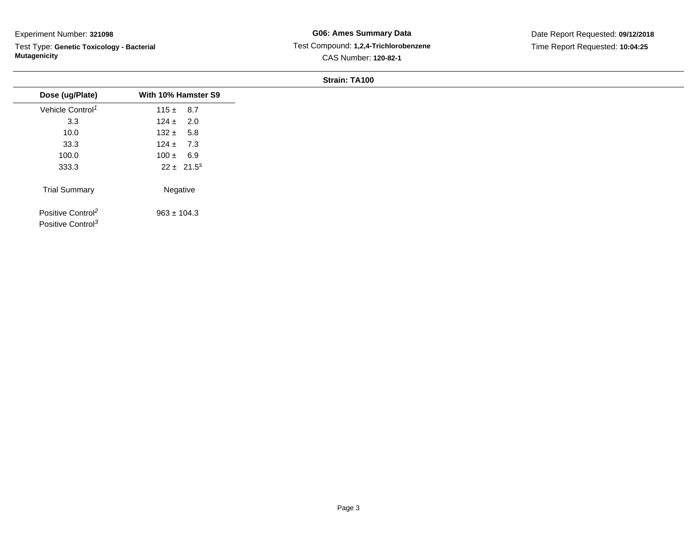$\overline{\phantom{a}}$ 

Test Type: **Genetic Toxicology - Bacterial Mutagenicity**

# **G06: Ames Summary Data** Test Compound: **1,2,4-Trichlorobenzene**CAS Number: **120-82-1**

Date Report Requested: **09/12/2018**Time Report Requested: **10:04:25**

| With 10% Hamster S9 |
|---------------------|
|                     |
| $115 \pm 8.7$       |
| $124 \pm 2.0$       |
| $132 \pm 5.8$       |
| $124 \pm 7.3$       |
| $100 \pm 6.9$       |
| $22 \pm 21.5^s$     |
| Negative            |
| $963 \pm 104.3$     |
|                     |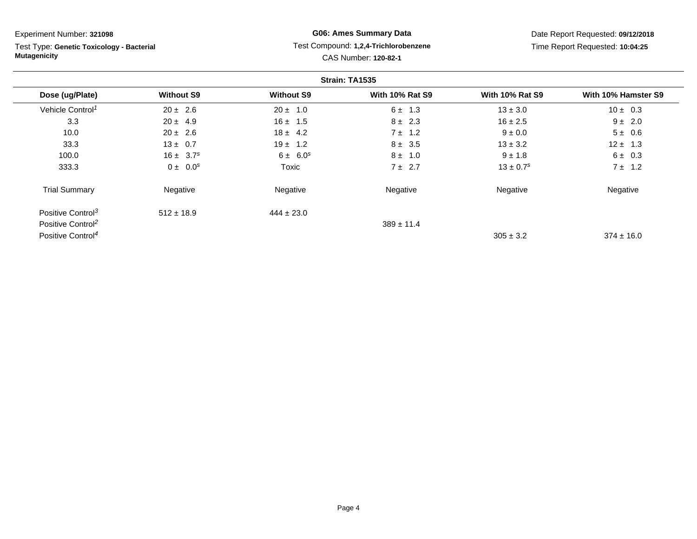Test Type: **Genetic Toxicology - Bacterial Mutagenicity**

# **G06: Ames Summary Data** Test Compound: **1,2,4-Trichlorobenzene**CAS Number: **120-82-1**

|                               |                   |                   | Strain: TA1535         |                           |                     |
|-------------------------------|-------------------|-------------------|------------------------|---------------------------|---------------------|
| Dose (ug/Plate)               | <b>Without S9</b> | <b>Without S9</b> | <b>With 10% Rat S9</b> | <b>With 10% Rat S9</b>    | With 10% Hamster S9 |
| Vehicle Control <sup>1</sup>  | $20 \pm 2.6$      | $20 \pm 1.0$      | $6 \pm 1.3$            | $13 \pm 3.0$              | $10 \pm 0.3$        |
| 3.3                           | $20 \pm 4.9$      | $16 \pm 1.5$      | $8 \pm 2.3$            | $16 \pm 2.5$              | $9 \pm 2.0$         |
| 10.0                          | $20 \pm 2.6$      | $18 \pm 4.2$      | $7 \pm 1.2$            | $9 \pm 0.0$               | $5 \pm 0.6$         |
| 33.3                          | $13 \pm 0.7$      | $19 \pm 1.2$      | $8 \pm 3.5$            | $13 \pm 3.2$              | $12 \pm 1.3$        |
| 100.0                         | $16 \pm 3.7^s$    | $6 \pm 6.0^s$     | $8 \pm 1.0$            | $9 \pm 1.8$               | $6 \pm 0.3$         |
| 333.3                         | $0 \pm 0.0^s$     | Toxic             | $7 \pm 2.7$            | $13 \pm 0.7$ <sup>s</sup> | $7 \pm 1.2$         |
| <b>Trial Summary</b>          | Negative          | Negative          | Negative               | Negative                  | Negative            |
| Positive Control <sup>3</sup> | $512 \pm 18.9$    | $444 \pm 23.0$    |                        |                           |                     |
| Positive Control <sup>2</sup> |                   |                   | $389 \pm 11.4$         |                           |                     |
| Positive Control <sup>4</sup> |                   |                   |                        | $305 \pm 3.2$             | $374 \pm 16.0$      |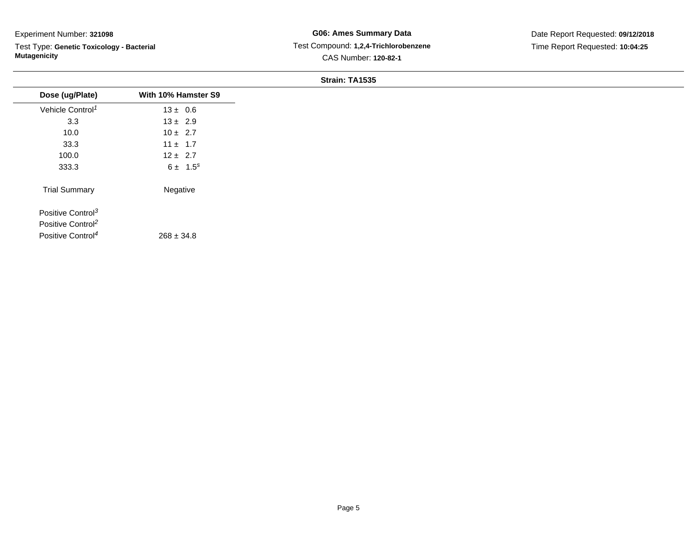Test Type: **Genetic Toxicology - Bacterial Mutagenicity**

**G06: Ames Summary Data** Test Compound: **1,2,4-Trichlorobenzene**CAS Number: **120-82-1**

Date Report Requested: **09/12/2018**Time Report Requested: **10:04:25**

| Dose (ug/Plate)               | With 10% Hamster S9 |
|-------------------------------|---------------------|
| Vehicle Control <sup>1</sup>  | $13 \pm 0.6$        |
| 3.3                           | $13 \pm 2.9$        |
| 10.0                          | $10 \pm 2.7$        |
| 33.3                          | $11 \pm 1.7$        |
| 100.0                         | $12 \pm 2.7$        |
| 333.3                         | $6 \pm 1.5^s$       |
| <b>Trial Summary</b>          | Negative            |
| Positive Control <sup>3</sup> |                     |
| Positive Control <sup>2</sup> |                     |
| Positive Control <sup>4</sup> | $268 \pm 34.8$      |
|                               |                     |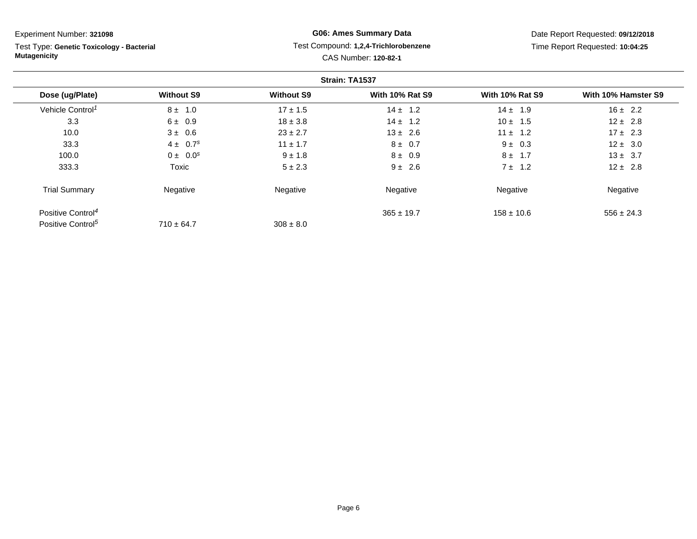Test Type: **Genetic Toxicology - Bacterial Mutagenicity**

# **G06: Ames Summary Data** Test Compound: **1,2,4-Trichlorobenzene**CAS Number: **120-82-1**

|                               |                   |                   | Strain: TA1537         |                        |                     |
|-------------------------------|-------------------|-------------------|------------------------|------------------------|---------------------|
| Dose (ug/Plate)               | <b>Without S9</b> | <b>Without S9</b> | <b>With 10% Rat S9</b> | <b>With 10% Rat S9</b> | With 10% Hamster S9 |
| Vehicle Control <sup>1</sup>  | $8 \pm 1.0$       | $17 \pm 1.5$      | $14 \pm 1.2$           | $14 \pm 1.9$           | $16 \pm 2.2$        |
| 3.3                           | $6 \pm 0.9$       | $18 \pm 3.8$      | $14 \pm 1.2$           | $10 \pm 1.5$           | $12 \pm 2.8$        |
| 10.0                          | $3 \pm 0.6$       | $23 \pm 2.7$      | $13 \pm 2.6$           | $11 \pm 1.2$           | $17 \pm 2.3$        |
| 33.3                          | $4 \pm 0.7^{s}$   | $11 \pm 1.7$      | $8 \pm 0.7$            | $9 \pm 0.3$            | $12 \pm 3.0$        |
| 100.0                         | $0 \pm 0.0^s$     | $9 \pm 1.8$       | $8 \pm 0.9$            | $8 \pm 1.7$            | $13 \pm 3.7$        |
| 333.3                         | Toxic             | $5 \pm 2.3$       | $9 \pm 2.6$            | $7 \pm 1.2$            | $12 \pm 2.8$        |
| <b>Trial Summary</b>          | Negative          | Negative          | Negative               | Negative               | Negative            |
| Positive Control <sup>4</sup> |                   |                   | $365 \pm 19.7$         | $158 \pm 10.6$         | $556 \pm 24.3$      |
| Positive Control <sup>5</sup> | $710 \pm 64.7$    | $308 \pm 8.0$     |                        |                        |                     |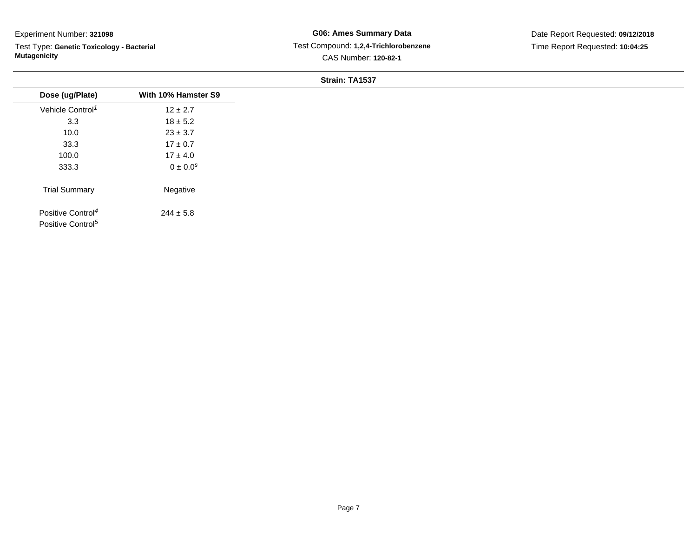Test Type: **Genetic Toxicology - Bacterial Mutagenicity**

| Dose (ug/Plate)               | With 10% Hamster S9      |
|-------------------------------|--------------------------|
| Vehicle Control <sup>1</sup>  | $12 \pm 2.7$             |
| 3.3                           | $18 \pm 5.2$             |
| 10.0                          | $23 \pm 3.7$             |
| 33.3                          | $17 \pm 0.7$             |
| 100.0                         | $17 \pm 4.0$             |
| 333.3                         | $0 \pm 0.0$ <sup>s</sup> |
| <b>Trial Summary</b>          | Negative                 |
| Positive Control <sup>4</sup> | $244 \pm 5.8$            |
| Positive Control <sup>5</sup> |                          |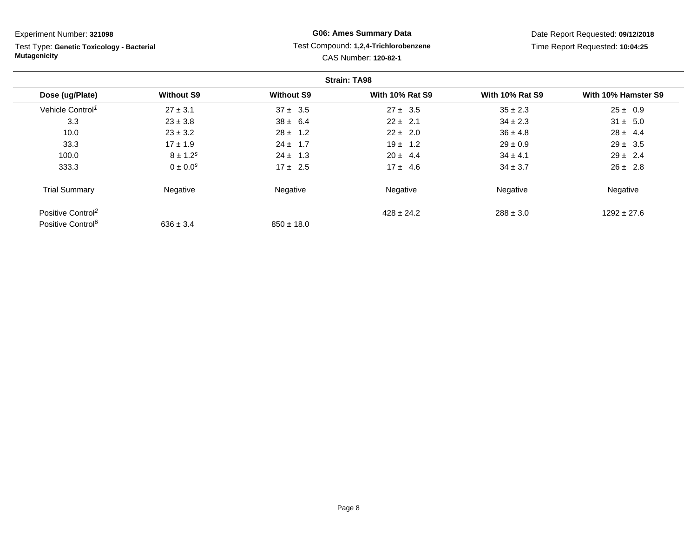Test Type: **Genetic Toxicology - Bacterial Mutagenicity**

# **G06: Ames Summary Data** Test Compound: **1,2,4-Trichlorobenzene**CAS Number: **120-82-1**

|                               |                   |                   | <b>Strain: TA98</b>    |                        |                     |
|-------------------------------|-------------------|-------------------|------------------------|------------------------|---------------------|
| Dose (ug/Plate)               | <b>Without S9</b> | <b>Without S9</b> | <b>With 10% Rat S9</b> | <b>With 10% Rat S9</b> | With 10% Hamster S9 |
| Vehicle Control <sup>1</sup>  | $27 \pm 3.1$      | $37 \pm 3.5$      | $27 \pm 3.5$           | $35 \pm 2.3$           | $25 \pm 0.9$        |
| 3.3                           | $23 \pm 3.8$      | $38 \pm 6.4$      | $22 \pm 2.1$           | $34 \pm 2.3$           | $31 \pm 5.0$        |
| 10.0                          | $23 \pm 3.2$      | $28 \pm 1.2$      | $22 \pm 2.0$           | $36 \pm 4.8$           | $28 \pm 4.4$        |
| 33.3                          | $17 \pm 1.9$      | $24 \pm 1.7$      | $19 \pm 1.2$           | $29 \pm 0.9$           | $29 \pm 3.5$        |
| 100.0                         | $8 \pm 1.2^s$     | $24 \pm 1.3$      | $20 \pm 4.4$           | $34 \pm 4.1$           | $29 \pm 2.4$        |
| 333.3                         | $0 \pm 0.0^s$     | $17 \pm 2.5$      | $17 \pm 4.6$           | $34 \pm 3.7$           | $26 \pm 2.8$        |
| <b>Trial Summary</b>          | Negative          | Negative          | Negative               | Negative               | Negative            |
| Positive Control <sup>2</sup> |                   |                   | $428 \pm 24.2$         | $288 \pm 3.0$          | $1292 \pm 27.6$     |
| Positive Control <sup>6</sup> | $636 \pm 3.4$     | $850 \pm 18.0$    |                        |                        |                     |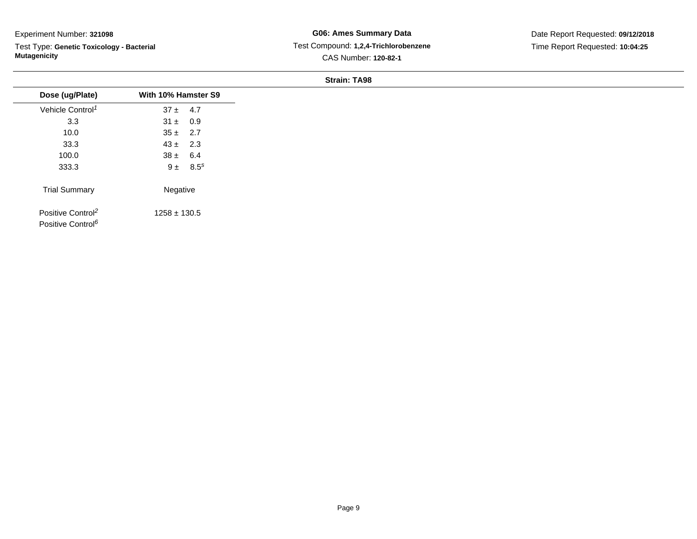Test Type: **Genetic Toxicology - Bacterial Mutagenicity**

**G06: Ames Summary Data** Test Compound: **1,2,4-Trichlorobenzene**CAS Number: **120-82-1**

Date Report Requested: **09/12/2018**Time Report Requested: **10:04:25**

| Dose (ug/Plate)                                                | With 10% Hamster S9 |               |
|----------------------------------------------------------------|---------------------|---------------|
| Vehicle Control <sup>1</sup>                                   | $37 \pm 4.7$        |               |
| 3.3                                                            | $31 \pm 0.9$        |               |
| 10.0                                                           | $35 \pm 2.7$        |               |
| 33.3                                                           | $43 \pm 2.3$        |               |
| 100.0                                                          | $38 \pm 6.4$        |               |
| 333.3                                                          |                     | $9 \pm 8.5^s$ |
| <b>Trial Summary</b>                                           | Negative            |               |
| Positive Control <sup>2</sup><br>Positive Control <sup>6</sup> | $1258 \pm 130.5$    |               |
|                                                                |                     |               |